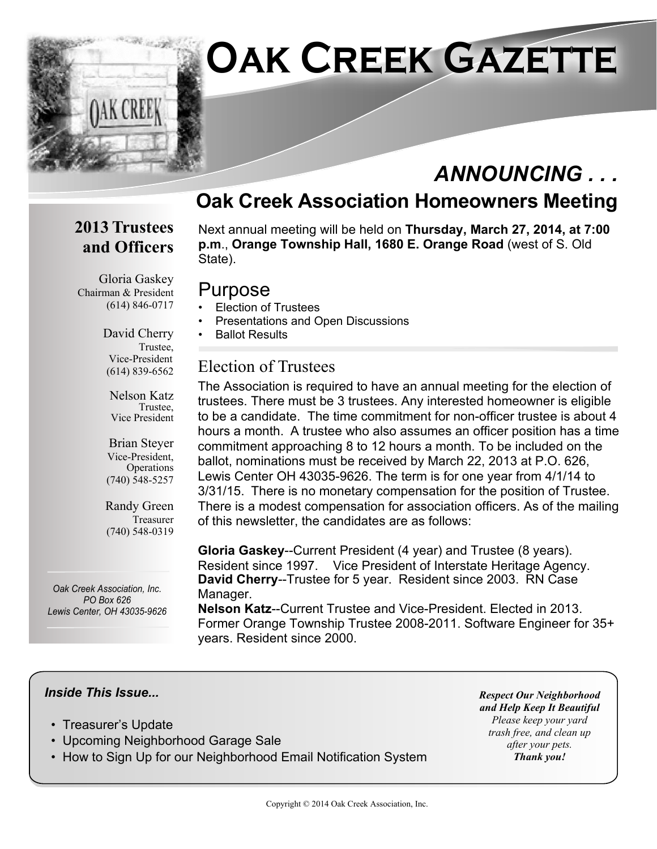

## *ANNOUNCING . . .*

### **Oak Creek Association Homeowners Meeting**

#### **2013 Trustees and Officers**

Gloria Gaskey Chairman & President (614) 846-0717

Next annual meeting will be held on **Thursday, March 27, 2014, at 7:00 p.m**., **Orange Township Hall, 1680 E. Orange Road** (west of S. Old State).

#### Purpose

- Election of Trustees
- Presentations and Open Discussions
- Ballot Results

#### Election of Trustees

The Association is required to have an annual meeting for the election of trustees. There must be 3 trustees. Any interested homeowner is eligible to be a candidate. The time commitment for non-officer trustee is about 4 hours a month. A trustee who also assumes an officer position has a time commitment approaching 8 to 12 hours a month. To be included on the ballot, nominations must be received by March 22, 2013 at P.O. 626, Lewis Center OH 43035-9626. The term is for one year from 4/1/14 to 3/31/15. There is no monetary compensation for the position of Trustee. There is a modest compensation for association officers. As of the mailing of this newsletter, the candidates are as follows:

**Gloria Gaskey**--Current President (4 year) and Trustee (8 years). Resident since 1997. Vice President of Interstate Heritage Agency. **David Cherry**--Trustee for 5 year. Resident since 2003. RN Case Manager.

**Nelson Katz**--Current Trustee and Vice-President. Elected in 2013. Former Orange Township Trustee 2008-2011. Software Engineer for 35+ years. Resident since 2000.

#### *Inside This Issue...*

- Treasurer's Update
- Upcoming Neighborhood Garage Sale
- How to Sign Up for our Neighborhood Email Notification System

*Respect Our Neighborhood and Help Keep It Beautiful Please keep your yard trash free, and clean up after your pets. Thank you!*

David Cherry Trustee, Vice-President (614) 839-6562

> Nelson Katz Trustee, Vice President

Brian Steyer Vice-President, **Operations** (740) 548-5257

Randy Green Treasurer (740) 548-0319

*Oak Creek Association, Inc. PO Box 626 Lewis Center, OH 43035-9626*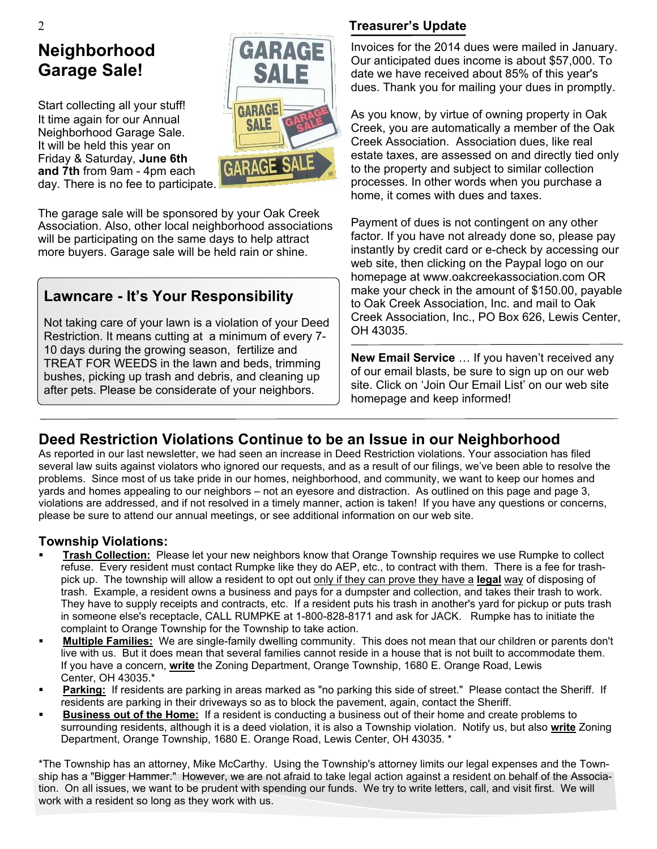## **Neighborhood Garage Sale!**

Start collecting all your stuff! It time again for our Annual Neighborhood Garage Sale. It will be held this year on Friday & Saturday, **June 6th and 7th** from 9am - 4pm each day. There is no fee to participate.



The garage sale will be sponsored by your Oak Creek Association. Also, other local neighborhood associations will be participating on the same days to help attract more buyers. Garage sale will be held rain or shine.

#### **Lawncare - It's Your Responsibility**

Not taking care of your lawn is a violation of your Deed Restriction. It means cutting at a minimum of every 7- 10 days during the growing season, fertilize and TREAT FOR WEEDS in the lawn and beds, trimming bushes, picking up trash and debris, and cleaning up after pets. Please be considerate of your neighbors.

#### **Treasurer's Update**

Invoices for the 2014 dues were mailed in January. Our anticipated dues income is about \$57,000. To date we have received about 85% of this year's dues. Thank you for mailing your dues in promptly.

As you know, by virtue of owning property in Oak Creek, you are automatically a member of the Oak Creek Association. Association dues, like real estate taxes, are assessed on and directly tied only to the property and subject to similar collection processes. In other words when you purchase a home, it comes with dues and taxes.

Payment of dues is not contingent on any other factor. If you have not already done so, please pay instantly by credit card or e-check by accessing our web site, then clicking on the Paypal logo on our homepage at www.oakcreekassociation.com OR make your check in the amount of \$150.00, payable to Oak Creek Association, Inc. and mail to Oak Creek Association, Inc., PO Box 626, Lewis Center, OH 43035.

**New Email Service** … If you haven't received any of our email blasts, be sure to sign up on our web site. Click on 'Join Our Email List' on our web site homepage and keep informed!

#### **Deed Restriction Violations Continue to be an Issue in our Neighborhood**

As reported in our last newsletter, we had seen an increase in Deed Restriction violations. Your association has filed several law suits against violators who ignored our requests, and as a result of our filings, we've been able to resolve the problems. Since most of us take pride in our homes, neighborhood, and community, we want to keep our homes and yards and homes appealing to our neighbors – not an eyesore and distraction. As outlined on this page and page 3, violations are addressed, and if not resolved in a timely manner, action is taken! If you have any questions or concerns, please be sure to attend our annual meetings, or see additional information on our web site.

#### **Township Violations:**

- ß **Trash Collection:** Please let your new neighbors know that Orange Township requires we use Rumpke to collect refuse. Every resident must contact Rumpke like they do AEP, etc., to contract with them. There is a fee for trashpick up. The township will allow a resident to opt out only if they can prove they have a **legal** way of disposing of trash. Example, a resident owns a business and pays for a dumpster and collection, and takes their trash to work. They have to supply receipts and contracts, etc. If a resident puts his trash in another's yard for pickup or puts trash in someone else's receptacle, CALL RUMPKE at 1-800-828-8171 and ask for JACK. Rumpke has to initiate the complaint to Orange Township for the Township to take action.
- ß **Multiple Families:** We are single-family dwelling community. This does not mean that our children or parents don't live with us. But it does mean that several families cannot reside in a house that is not built to accommodate them. If you have a concern, **write** the Zoning Department, Orange Township, 1680 E. Orange Road, Lewis Center, OH 43035.\*
- **Parking:** If residents are parking in areas marked as "no parking this side of street." Please contact the Sheriff. If residents are parking in their driveways so as to block the pavement, again, contact the Sheriff.
- ß **Business out of the Home:** If a resident is conducting a business out of their home and create problems to surrounding residents, although it is a deed violation, it is also a Township violation. Notify us, but also **write** Zoning Department, Orange Township, 1680 E. Orange Road, Lewis Center, OH 43035. \*

\*The Township has an attorney, Mike McCarthy. Using the Township's attorney limits our legal expenses and the Township has a "Bigger Hammer." However, we are not afraid to take legal action against a resident on behalf of the Association. On all issues, we want to be prudent with spending our funds. We try to write letters, call, and visit first. We will work with a resident so long as they work with us.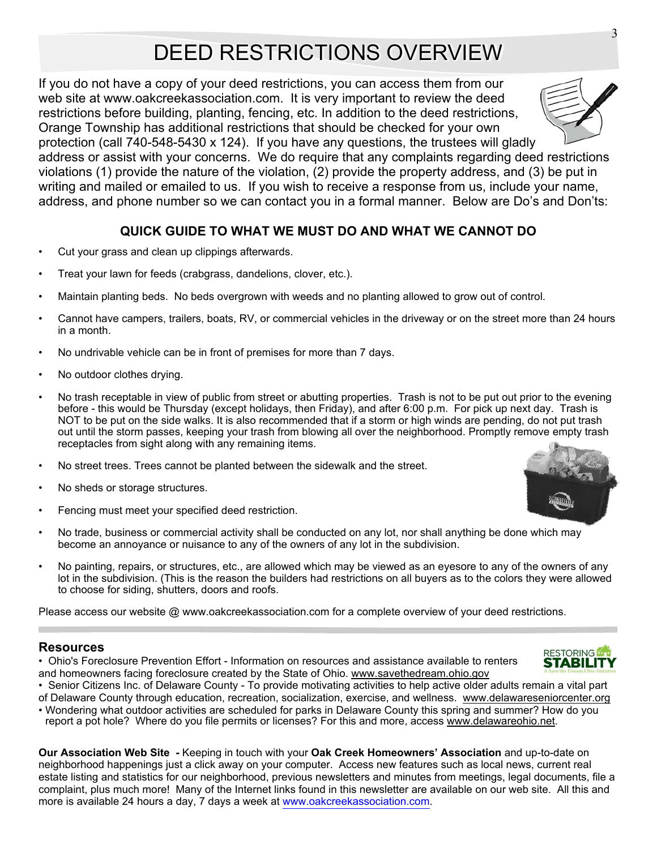# DEED RESTRICTIONS OVERVIEW

If you do not have a copy of your deed restrictions, you can access them from our web site at www.oakcreekassociation.com. It is very important to review the deed restrictions before building, planting, fencing, etc. In addition to the deed restrictions, Orange Township has additional restrictions that should be checked for your own

protection (call 740-548-5430 x 124). If you have any questions, the trustees will gladly address or assist with your concerns. We do require that any complaints regarding deed restrictions violations (1) provide the nature of the violation, (2) provide the property address, and (3) be put in writing and mailed or emailed to us. If you wish to receive a response from us, include your name, address, and phone number so we can contact you in a formal manner. Below are Do's and Don'ts:

#### **QUICK GUIDE TO WHAT WE MUST DO AND WHAT WE CANNOT DO**

- Cut your grass and clean up clippings afterwards.
- Treat your lawn for feeds (crabgrass, dandelions, clover, etc.).
- Maintain planting beds. No beds overgrown with weeds and no planting allowed to grow out of control.
- Cannot have campers, trailers, boats, RV, or commercial vehicles in the driveway or on the street more than 24 hours in a month.
- No undrivable vehicle can be in front of premises for more than 7 days.
- No outdoor clothes drying.
- No trash receptable in view of public from street or abutting properties. Trash is not to be put out prior to the evening before - this would be Thursday (except holidays, then Friday), and after 6:00 p.m. For pick up next day. Trash is NOT to be put on the side walks. It is also recommended that if a storm or high winds are pending, do not put trash out until the storm passes, keeping your trash from blowing all over the neighborhood. Promptly remove empty trash receptacles from sight along with any remaining items.
- No street trees. Trees cannot be planted between the sidewalk and the street.
- No sheds or storage structures.
- Fencing must meet your specified deed restriction.
- No trade, business or commercial activity shall be conducted on any lot, nor shall anything be done which may become an annoyance or nuisance to any of the owners of any lot in the subdivision.
- No painting, repairs, or structures, etc., are allowed which may be viewed as an eyesore to any of the owners of any lot in the subdivision. (This is the reason the builders had restrictions on all buyers as to the colors they were allowed to choose for siding, shutters, doors and roofs.

Please access our website @ www.oakcreekassociation.com for a complete overview of your deed restrictions.

#### **Resources**

- Ohio's Foreclosure Prevention Effort Information on resources and assistance available to renters and homeowners facing foreclosure created by the State of Ohio. www.savethedream.ohio.gov
- Senior Citizens Inc. of Delaware County To provide motivating activities to help active older adults remain a vital part
- of Delaware County through education, recreation, socialization, exercise, and wellness. www.delawareseniorcenter.org • Wondering what outdoor activities are scheduled for parks in Delaware County this spring and summer? How do you report a pot hole? Where do you file permits or licenses? For this and more, access www.delawareohio.net.

**Our Association Web Site** *-* Keeping in touch with your **Oak Creek Homeowners' Association** and up-to-date on neighborhood happenings just a click away on your computer. Access new features such as local news, current real estate listing and statistics for our neighborhood, previous newsletters and minutes from meetings, legal documents, file a complaint, plus much more! Many of the Internet links found in this newsletter are available on our web site. All this and more is available 24 hours a day, 7 days a week at www.oakcreekassociation.com.





3